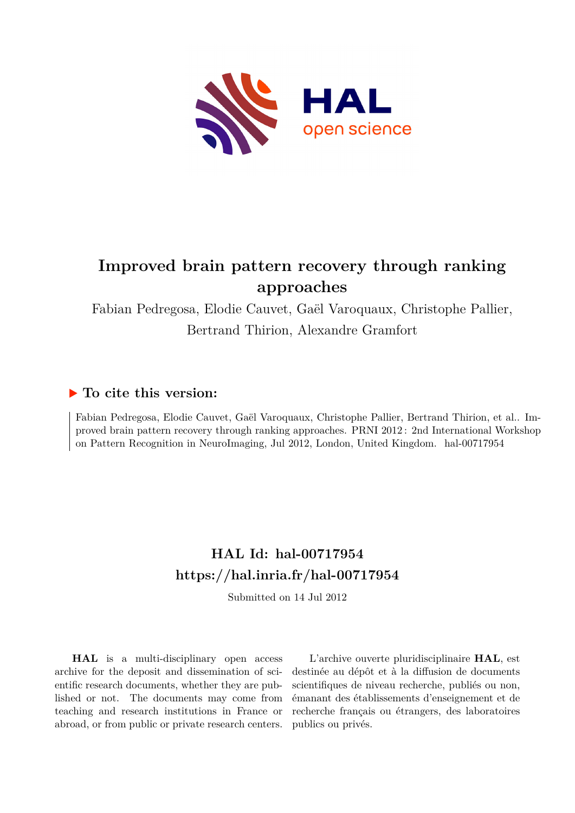

## **Improved brain pattern recovery through ranking approaches**

Fabian Pedregosa, Elodie Cauvet, Gaël Varoquaux, Christophe Pallier, Bertrand Thirion, Alexandre Gramfort

### **To cite this version:**

Fabian Pedregosa, Elodie Cauvet, Gaël Varoquaux, Christophe Pallier, Bertrand Thirion, et al.. Improved brain pattern recovery through ranking approaches. PRNI 2012 : 2nd International Workshop on Pattern Recognition in NeuroImaging, Jul 2012, London, United Kingdom. hal-00717954

## **HAL Id: hal-00717954 <https://hal.inria.fr/hal-00717954>**

Submitted on 14 Jul 2012

**HAL** is a multi-disciplinary open access archive for the deposit and dissemination of scientific research documents, whether they are published or not. The documents may come from teaching and research institutions in France or abroad, or from public or private research centers.

L'archive ouverte pluridisciplinaire **HAL**, est destinée au dépôt et à la diffusion de documents scientifiques de niveau recherche, publiés ou non, émanant des établissements d'enseignement et de recherche français ou étrangers, des laboratoires publics ou privés.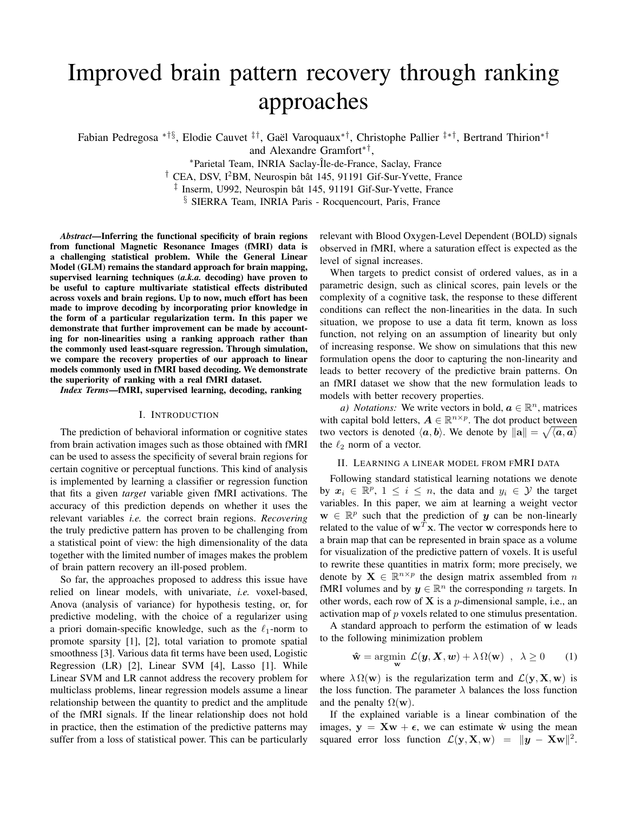# Improved brain pattern recovery through ranking approaches

Fabian Pedregosa \*†§, Elodie Cauvet <sup>‡†</sup>, Gaël Varoquaux<sup>\*†</sup>, Christophe Pallier <sup>‡\*†</sup>, Bertrand Thirion<sup>\*†</sup>

and Alexandre Gramfort∗† ,

<sup>∗</sup>Parietal Team, INRIA Saclay-ˆIle-de-France, Saclay, France

<sup>†</sup> CEA, DSV, I<sup>2</sup>BM, Neurospin bât 145, 91191 Gif-Sur-Yvette, France

<sup>‡</sup> Inserm, U992, Neurospin bât 145, 91191 Gif-Sur-Yvette, France

§ SIERRA Team, INRIA Paris - Rocquencourt, Paris, France

*Abstract*—Inferring the functional specificity of brain regions from functional Magnetic Resonance Images (fMRI) data is a challenging statistical problem. While the General Linear Model (GLM) remains the standard approach for brain mapping, supervised learning techniques (*a.k.a.* decoding) have proven to be useful to capture multivariate statistical effects distributed across voxels and brain regions. Up to now, much effort has been made to improve decoding by incorporating prior knowledge in the form of a particular regularization term. In this paper we demonstrate that further improvement can be made by accounting for non-linearities using a ranking approach rather than the commonly used least-square regression. Through simulation, we compare the recovery properties of our approach to linear models commonly used in fMRI based decoding. We demonstrate the superiority of ranking with a real fMRI dataset.

*Index Terms*—fMRI, supervised learning, decoding, ranking

#### I. INTRODUCTION

The prediction of behavioral information or cognitive states from brain activation images such as those obtained with fMRI can be used to assess the specificity of several brain regions for certain cognitive or perceptual functions. This kind of analysis is implemented by learning a classifier or regression function that fits a given *target* variable given fMRI activations. The accuracy of this prediction depends on whether it uses the relevant variables *i.e.* the correct brain regions. *Recovering* the truly predictive pattern has proven to be challenging from a statistical point of view: the high dimensionality of the data together with the limited number of images makes the problem of brain pattern recovery an ill-posed problem.

So far, the approaches proposed to address this issue have relied on linear models, with univariate, *i.e.* voxel-based, Anova (analysis of variance) for hypothesis testing, or, for predictive modeling, with the choice of a regularizer using a priori domain-specific knowledge, such as the  $\ell_1$ -norm to promote sparsity [1], [2], total variation to promote spatial smoothness [3]. Various data fit terms have been used, Logistic Regression (LR) [2], Linear SVM [4], Lasso [1]. While Linear SVM and LR cannot address the recovery problem for multiclass problems, linear regression models assume a linear relationship between the quantity to predict and the amplitude of the fMRI signals. If the linear relationship does not hold in practice, then the estimation of the predictive patterns may suffer from a loss of statistical power. This can be particularly relevant with Blood Oxygen-Level Dependent (BOLD) signals observed in fMRI, where a saturation effect is expected as the level of signal increases.

When targets to predict consist of ordered values, as in a parametric design, such as clinical scores, pain levels or the complexity of a cognitive task, the response to these different conditions can reflect the non-linearities in the data. In such situation, we propose to use a data fit term, known as loss function, not relying on an assumption of linearity but only of increasing response. We show on simulations that this new formulation opens the door to capturing the non-linearity and leads to better recovery of the predictive brain patterns. On an fMRI dataset we show that the new formulation leads to models with better recovery properties.

*a*) *Notations:* We write vectors in bold,  $a \in \mathbb{R}^n$ , matrices with capital bold letters,  $A \in \mathbb{R}^{n \times p}$ . The dot product between two vectors is denoted  $\langle a, b \rangle$ . We denote by  $\|\mathbf{a}\| = \sqrt{\langle a, a \rangle}$ the  $\ell_2$  norm of a vector.

#### II. LEARNING A LINEAR MODEL FROM FMRI DATA

Following standard statistical learning notations we denote by  $x_i \in \mathbb{R}^p$ ,  $1 \le i \le n$ , the data and  $y_i \in \mathcal{Y}$  the target variables. In this paper, we aim at learning a weight vector  $\mathbf{w} \in \mathbb{R}^p$  such that the prediction of y can be non-linearly related to the value of  $\mathbf{w}^T \mathbf{x}$ . The vector w corresponds here to a brain map that can be represented in brain space as a volume for visualization of the predictive pattern of voxels. It is useful to rewrite these quantities in matrix form; more precisely, we denote by  $\mathbf{X} \in \mathbb{R}^{n \times p}$  the design matrix assembled from n fMRI volumes and by  $y \in \mathbb{R}^n$  the corresponding n targets. In other words, each row of  $X$  is a *p*-dimensional sample, i.e., an activation map of p voxels related to one stimulus presentation.

A standard approach to perform the estimation of w leads to the following minimization problem

$$
\hat{\mathbf{w}} = \operatorname*{argmin}_{\mathbf{w}} \mathcal{L}(\mathbf{y}, \mathbf{X}, \mathbf{w}) + \lambda \Omega(\mathbf{w}) \quad , \quad \lambda \ge 0 \tag{1}
$$

where  $\lambda \Omega(\mathbf{w})$  is the regularization term and  $\mathcal{L}(\mathbf{y}, \mathbf{X}, \mathbf{w})$  is the loss function. The parameter  $\lambda$  balances the loss function and the penalty  $\Omega(\mathbf{w})$ .

If the explained variable is a linear combination of the images,  $y = Xw + \epsilon$ , we can estimate  $\hat{w}$  using the mean squared error loss function  $\mathcal{L}(\mathbf{y}, \mathbf{X}, \mathbf{w}) = ||\mathbf{y} - \mathbf{X}\mathbf{w}||^2$ .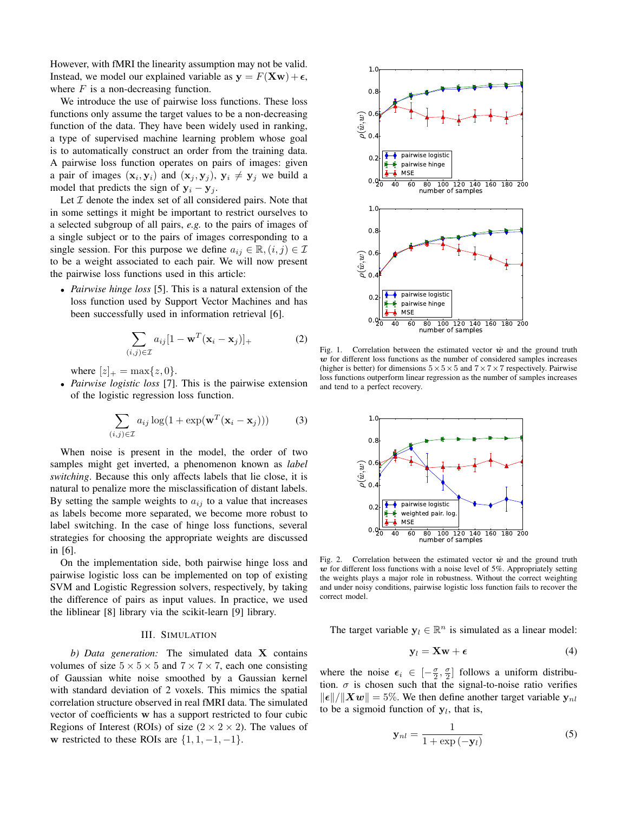However, with fMRI the linearity assumption may not be valid. Instead, we model our explained variable as  $y = F(Xw) + \epsilon$ , where  $F$  is a non-decreasing function.

We introduce the use of pairwise loss functions. These loss functions only assume the target values to be a non-decreasing function of the data. They have been widely used in ranking, a type of supervised machine learning problem whose goal is to automatically construct an order from the training data. A pairwise loss function operates on pairs of images: given a pair of images  $(\mathbf{x}_i, \mathbf{y}_i)$  and  $(\mathbf{x}_j, \mathbf{y}_j)$ ,  $\mathbf{y}_i \neq \mathbf{y}_j$  we build a model that predicts the sign of  $y_i - y_j$ .

Let  $I$  denote the index set of all considered pairs. Note that in some settings it might be important to restrict ourselves to a selected subgroup of all pairs, *e.g.* to the pairs of images of a single subject or to the pairs of images corresponding to a single session. For this purpose we define  $a_{ij} \in \mathbb{R}, (i, j) \in \mathcal{I}$ to be a weight associated to each pair. We will now present the pairwise loss functions used in this article:

• *Pairwise hinge loss* [5]. This is a natural extension of the loss function used by Support Vector Machines and has been successfully used in information retrieval [6].

$$
\sum_{(i,j)\in\mathcal{I}} a_{ij}[1 - \mathbf{w}^T(\mathbf{x}_i - \mathbf{x}_j)]_+\tag{2}
$$

where  $[z]_{+} = \max\{z, 0\}.$ 

• *Pairwise logistic loss* [7]. This is the pairwise extension of the logistic regression loss function.

$$
\sum_{(i,j)\in\mathcal{I}} a_{ij} \log(1 + \exp(\mathbf{w}^T(\mathbf{x}_i - \mathbf{x}_j)))
$$
 (3)

When noise is present in the model, the order of two samples might get inverted, a phenomenon known as *label switching*. Because this only affects labels that lie close, it is natural to penalize more the misclassification of distant labels. By setting the sample weights to  $a_{ij}$  to a value that increases as labels become more separated, we become more robust to label switching. In the case of hinge loss functions, several strategies for choosing the appropriate weights are discussed in [6].

On the implementation side, both pairwise hinge loss and pairwise logistic loss can be implemented on top of existing SVM and Logistic Regression solvers, respectively, by taking the difference of pairs as input values. In practice, we used the liblinear [8] library via the scikit-learn [9] library.

#### III. SIMULATION

*b) Data generation:* The simulated data X contains volumes of size  $5 \times 5 \times 5$  and  $7 \times 7 \times 7$ , each one consisting of Gaussian white noise smoothed by a Gaussian kernel with standard deviation of 2 voxels. This mimics the spatial correlation structure observed in real fMRI data. The simulated vector of coefficients w has a support restricted to four cubic Regions of Interest (ROIs) of size  $(2 \times 2 \times 2)$ . The values of w restricted to these ROIs are  $\{1, 1, -1, -1\}$ .



Fig. 1. Correlation between the estimated vector  $\hat{w}$  and the ground truth  $w$  for different loss functions as the number of considered samples increases (higher is better) for dimensions  $5 \times 5 \times 5$  and  $7 \times 7 \times 7$  respectively. Pairwise loss functions outperform linear regression as the number of samples increases and tend to a perfect recovery.



Fig. 2. Correlation between the estimated vector  $\hat{w}$  and the ground truth  $w$  for different loss functions with a noise level of 5%. Appropriately setting the weights plays a major role in robustness. Without the correct weighting and under noisy conditions, pairwise logistic loss function fails to recover the correct model.

The target variable  $y_l \in \mathbb{R}^n$  is simulated as a linear model:

$$
\mathbf{y}_l = \mathbf{X}\mathbf{w} + \boldsymbol{\epsilon} \tag{4}
$$

where the noise  $\epsilon_i \in [-\frac{\sigma}{2}, \frac{\sigma}{2}]$  follows a uniform distribution.  $\sigma$  is chosen such that the signal-to-noise ratio verifies  $\|\boldsymbol{\epsilon}\|/\|\boldsymbol{X}\boldsymbol{w}\| = 5\%$ . We then define another target variable  $\mathbf{y}_{nl}$ to be a sigmoid function of  $y_l$ , that is,

$$
\mathbf{y}_{nl} = \frac{1}{1 + \exp\left(-\mathbf{y}_l\right)}\tag{5}
$$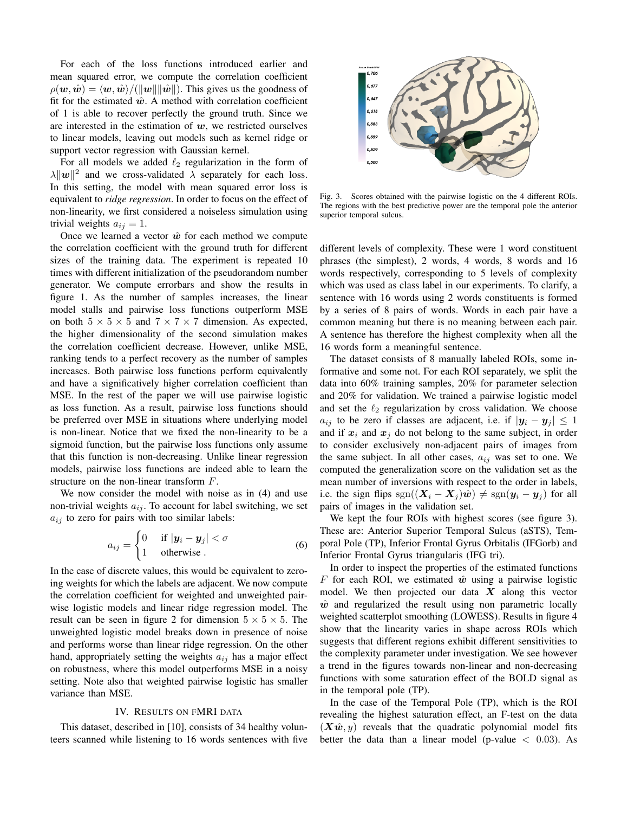For each of the loss functions introduced earlier and mean squared error, we compute the correlation coefficient  $\rho(\mathbf{w}, \hat{\mathbf{w}}) = \langle \mathbf{w}, \hat{\mathbf{w}} \rangle / (\|\mathbf{w}\| \|\hat{\mathbf{w}}\|)$ . This gives us the goodness of fit for the estimated  $\hat{w}$ . A method with correlation coefficient of 1 is able to recover perfectly the ground truth. Since we are interested in the estimation of  $w$ , we restricted ourselves to linear models, leaving out models such as kernel ridge or support vector regression with Gaussian kernel.

For all models we added  $\ell_2$  regularization in the form of  $\lambda ||w||^2$  and we cross-validated  $\lambda$  separately for each loss. In this setting, the model with mean squared error loss is equivalent to *ridge regression*. In order to focus on the effect of non-linearity, we first considered a noiseless simulation using trivial weights  $a_{ij} = 1$ .

Once we learned a vector  $\hat{w}$  for each method we compute the correlation coefficient with the ground truth for different sizes of the training data. The experiment is repeated 10 times with different initialization of the pseudorandom number generator. We compute errorbars and show the results in figure 1. As the number of samples increases, the linear model stalls and pairwise loss functions outperform MSE on both  $5 \times 5 \times 5$  and  $7 \times 7 \times 7$  dimension. As expected, the higher dimensionality of the second simulation makes the correlation coefficient decrease. However, unlike MSE, ranking tends to a perfect recovery as the number of samples increases. Both pairwise loss functions perform equivalently and have a significatively higher correlation coefficient than MSE. In the rest of the paper we will use pairwise logistic as loss function. As a result, pairwise loss functions should be preferred over MSE in situations where underlying model is non-linear. Notice that we fixed the non-linearity to be a sigmoid function, but the pairwise loss functions only assume that this function is non-decreasing. Unlike linear regression models, pairwise loss functions are indeed able to learn the structure on the non-linear transform F.

We now consider the model with noise as in (4) and use non-trivial weights  $a_{ij}$ . To account for label switching, we set  $a_{ij}$  to zero for pairs with too similar labels:

$$
a_{ij} = \begin{cases} 0 & \text{if } |\mathbf{y}_i - \mathbf{y}_j| < \sigma \\ 1 & \text{otherwise} \end{cases}
$$
 (6)

In the case of discrete values, this would be equivalent to zeroing weights for which the labels are adjacent. We now compute the correlation coefficient for weighted and unweighted pairwise logistic models and linear ridge regression model. The result can be seen in figure 2 for dimension  $5 \times 5 \times 5$ . The unweighted logistic model breaks down in presence of noise and performs worse than linear ridge regression. On the other hand, appropriately setting the weights  $a_{ij}$  has a major effect on robustness, where this model outperforms MSE in a noisy setting. Note also that weighted pairwise logistic has smaller variance than MSE.

#### IV. RESULTS ON FMRI DATA

This dataset, described in [10], consists of 34 healthy volunteers scanned while listening to 16 words sentences with five



Fig. 3. Scores obtained with the pairwise logistic on the 4 different ROIs. The regions with the best predictive power are the temporal pole the anterior superior temporal sulcus.

different levels of complexity. These were 1 word constituent phrases (the simplest), 2 words, 4 words, 8 words and 16 words respectively, corresponding to 5 levels of complexity which was used as class label in our experiments. To clarify, a sentence with 16 words using 2 words constituents is formed by a series of 8 pairs of words. Words in each pair have a common meaning but there is no meaning between each pair. A sentence has therefore the highest complexity when all the 16 words form a meaningful sentence.

The dataset consists of 8 manually labeled ROIs, some informative and some not. For each ROI separately, we split the data into 60% training samples, 20% for parameter selection and 20% for validation. We trained a pairwise logistic model and set the  $\ell_2$  regularization by cross validation. We choose  $a_{ij}$  to be zero if classes are adjacent, i.e. if  $|\mathbf{y}_i - \mathbf{y}_j| \leq 1$ and if  $x_i$  and  $x_j$  do not belong to the same subject, in order to consider exclusively non-adjacent pairs of images from the same subject. In all other cases,  $a_{ij}$  was set to one. We computed the generalization score on the validation set as the mean number of inversions with respect to the order in labels, i.e. the sign flips sgn( $(X_i - X_j)\hat{w}$ )  $\neq$  sgn $(y_i - y_j)$  for all pairs of images in the validation set.

We kept the four ROIs with highest scores (see figure 3). These are: Anterior Superior Temporal Sulcus (aSTS), Temporal Pole (TP), Inferior Frontal Gyrus Orbitalis (IFGorb) and Inferior Frontal Gyrus triangularis (IFG tri).

In order to inspect the properties of the estimated functions F for each ROI, we estimated  $\hat{w}$  using a pairwise logistic model. We then projected our data  $X$  along this vector  $\hat{w}$  and regularized the result using non parametric locally weighted scatterplot smoothing (LOWESS). Results in figure 4 show that the linearity varies in shape across ROIs which suggests that different regions exhibit different sensitivities to the complexity parameter under investigation. We see however a trend in the figures towards non-linear and non-decreasing functions with some saturation effect of the BOLD signal as in the temporal pole (TP).

In the case of the Temporal Pole (TP), which is the ROI revealing the highest saturation effect, an F-test on the data  $(X\hat{w}, y)$  reveals that the quadratic polynomial model fits better the data than a linear model (p-value  $\langle 0.03 \rangle$ . As